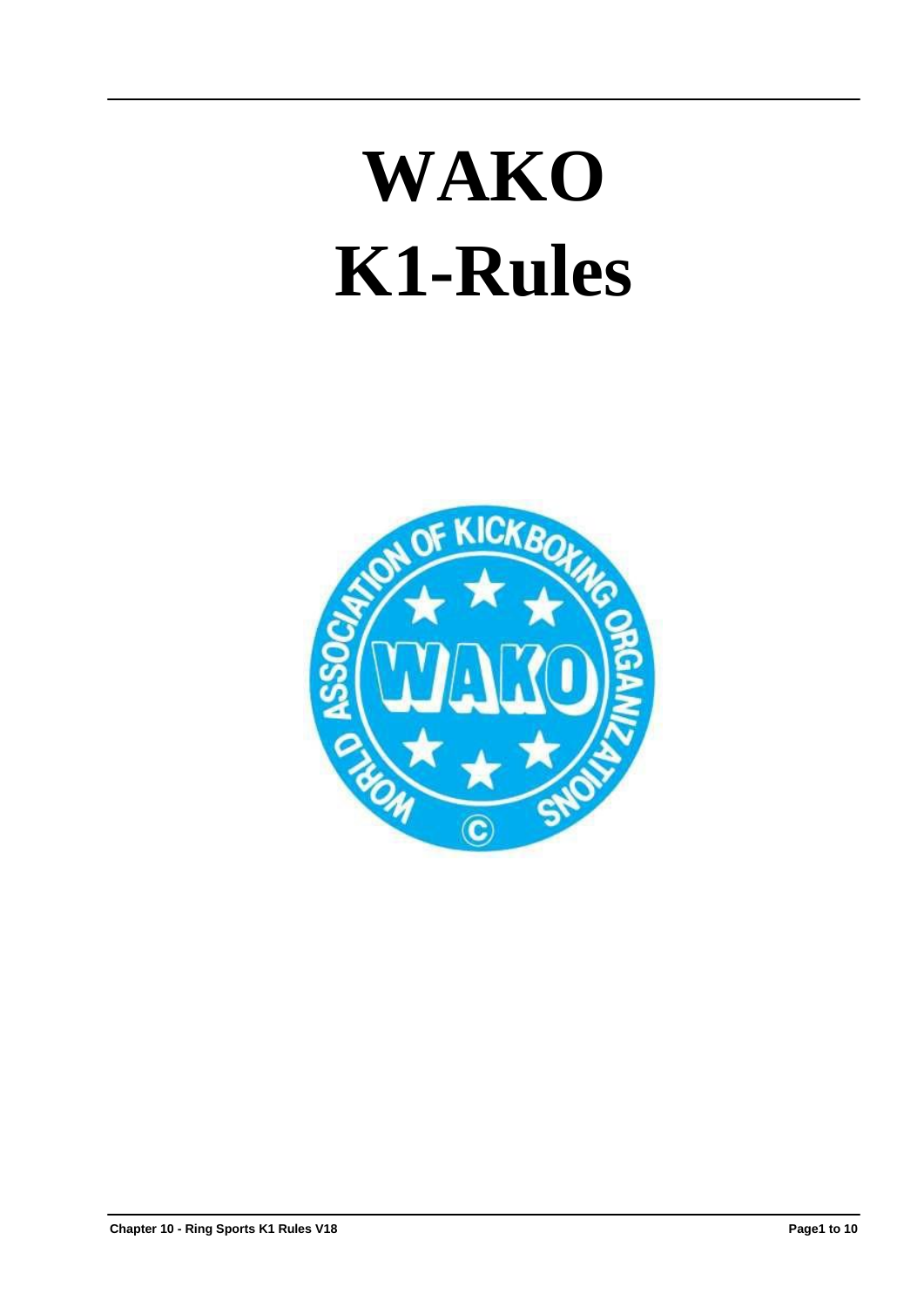# **WAKO K1-Rules**

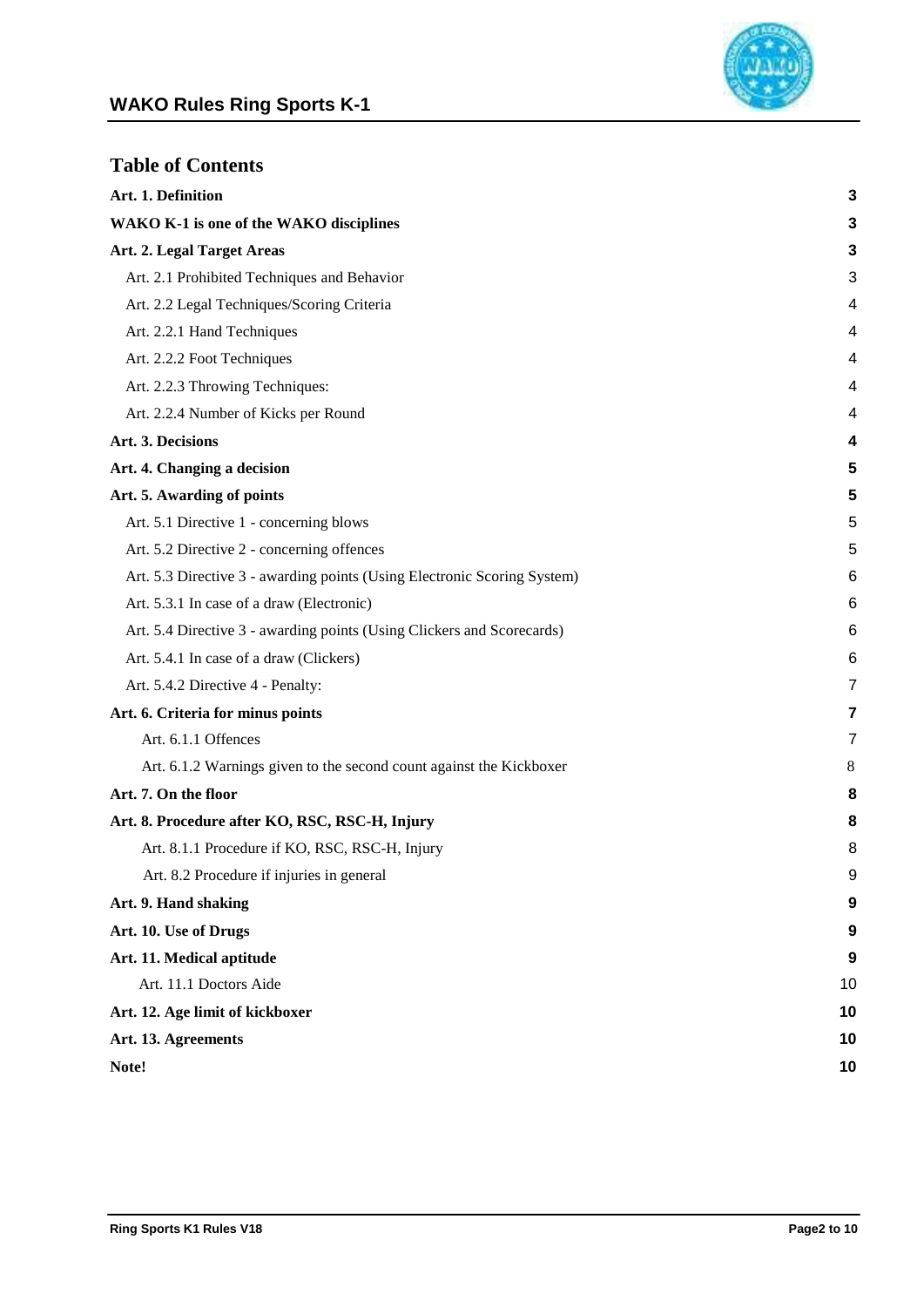

| <b>Table of Contents</b>                                                 |                |
|--------------------------------------------------------------------------|----------------|
| Art. 1. Definition                                                       | 3              |
| <b>WAKO K-1</b> is one of the WAKO disciplines                           | 3              |
| Art. 2. Legal Target Areas                                               | 3              |
| Art. 2.1 Prohibited Techniques and Behavior                              | 3              |
| Art. 2.2 Legal Techniques/Scoring Criteria                               | 4              |
| Art. 2.2.1 Hand Techniques                                               | 4              |
| Art. 2.2.2 Foot Techniques                                               | 4              |
| Art. 2.2.3 Throwing Techniques:                                          | 4              |
| Art. 2.2.4 Number of Kicks per Round                                     | 4              |
| Art. 3. Decisions                                                        | 4              |
| Art. 4. Changing a decision                                              | 5              |
| Art. 5. Awarding of points                                               | 5              |
| Art. 5.1 Directive 1 - concerning blows                                  | 5              |
| Art. 5.2 Directive 2 - concerning offences                               | 5              |
| Art. 5.3 Directive 3 - awarding points (Using Electronic Scoring System) | 6              |
| Art. 5.3.1 In case of a draw (Electronic)                                | 6              |
| Art. 5.4 Directive 3 - awarding points (Using Clickers and Scorecards)   | 6              |
| Art. 5.4.1 In case of a draw (Clickers)                                  | 6              |
| Art. 5.4.2 Directive 4 - Penalty:                                        | $\overline{7}$ |
| Art. 6. Criteria for minus points                                        | 7              |
| Art. 6.1.1 Offences                                                      | 7              |
| Art. 6.1.2 Warnings given to the second count against the Kickboxer      | 8              |
| Art. 7. On the floor                                                     | 8              |
| Art. 8. Procedure after KO, RSC, RSC-H, Injury                           | 8              |
| Art. 8.1.1 Procedure if KO, RSC, RSC-H, Injury                           | 8              |
| Art. 8.2 Procedure if injuries in general                                | 9              |
| Art. 9. Hand shaking                                                     | 9              |
| Art. 10. Use of Drugs                                                    | 9              |
| Art. 11. Medical aptitude                                                | 9              |
| Art. 11.1 Doctors Aide                                                   | 10             |
| Art. 12. Age limit of kickboxer                                          | 10             |
| Art. 13. Agreements                                                      | 10             |

**Note! 10**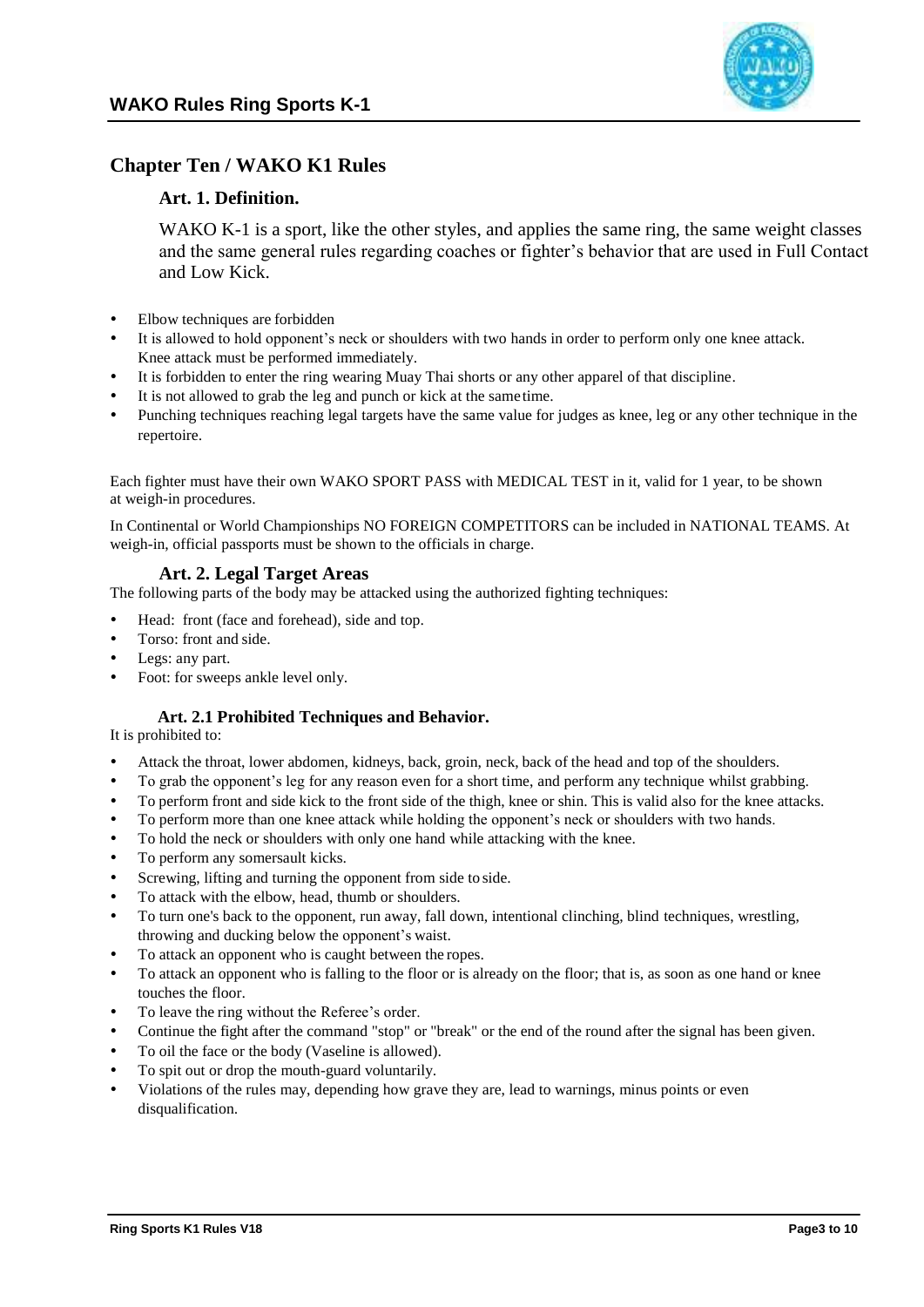

# <span id="page-2-0"></span>**Chapter Ten / WAKO K1 Rules**

# **Art. 1. Definition.**

WAKO K-1 is a sport, like the other styles, and applies the same ring, the same weight classes and the same general rules regarding coaches or fighter's behavior that are used in Full Contact and Low Kick.

- Elbow techniques are forbidden
- It is allowed to hold opponent's neck or shoulders with two hands in order to perform only one knee attack. Knee attack must be performed immediately.
- It is forbidden to enter the ring wearing Muay Thai shorts or any other apparel of that discipline.
- It is not allowed to grab the leg and punch or kick at the same time.
- Punching techniques reaching legal targets have the same value for judges as knee, leg or any other technique in the repertoire.

Each fighter must have their own WAKO SPORT PASS with MEDICAL TEST in it, valid for 1 year, to be shown at weigh-in procedures.

In Continental or World Championships NO FOREIGN COMPETITORS can be included in NATIONAL TEAMS. At weigh-in, official passports must be shown to the officials in charge.

# **Art. 2. Legal Target Areas**

The following parts of the body may be attacked using the authorized fighting techniques:

- Head: front (face and forehead), side and top.
- Torso: front and side.
- Legs: any part.
- Foot: for sweeps ankle level only.

# **Art. 2.1 Prohibited Techniques and Behavior.**

It is prohibited to:

- Attack the throat, lower abdomen, kidneys, back, groin, neck, back of the head and top of the shoulders.
- To grab the opponent's leg for any reason even for a short time, and perform any technique whilst grabbing.
- To perform front and side kick to the front side of the thigh, knee or shin. This is valid also for the knee attacks.
- To perform more than one knee attack while holding the opponent's neck or shoulders with two hands.
- To hold the neck or shoulders with only one hand while attacking with the knee.
- To perform any somersault kicks.
- Screwing, lifting and turning the opponent from side to side.
- To attack with the elbow, head, thumb or shoulders.
- To turn one's back to the opponent, run away, fall down, intentional clinching, blind techniques, wrestling, throwing and ducking below the opponent's waist.
- To attack an opponent who is caught between the ropes.
- To attack an opponent who is falling to the floor or is already on the floor; that is, as soon as one hand or knee touches the floor.
- To leave the ring without the Referee's order.
- Continue the fight after the command "stop" or "break" or the end of the round after the signal has been given.
- To oil the face or the body (Vaseline is allowed).
- To spit out or drop the mouth-guard voluntarily.
- Violations of the rules may, depending how grave they are, lead to warnings, minus points or even disqualification.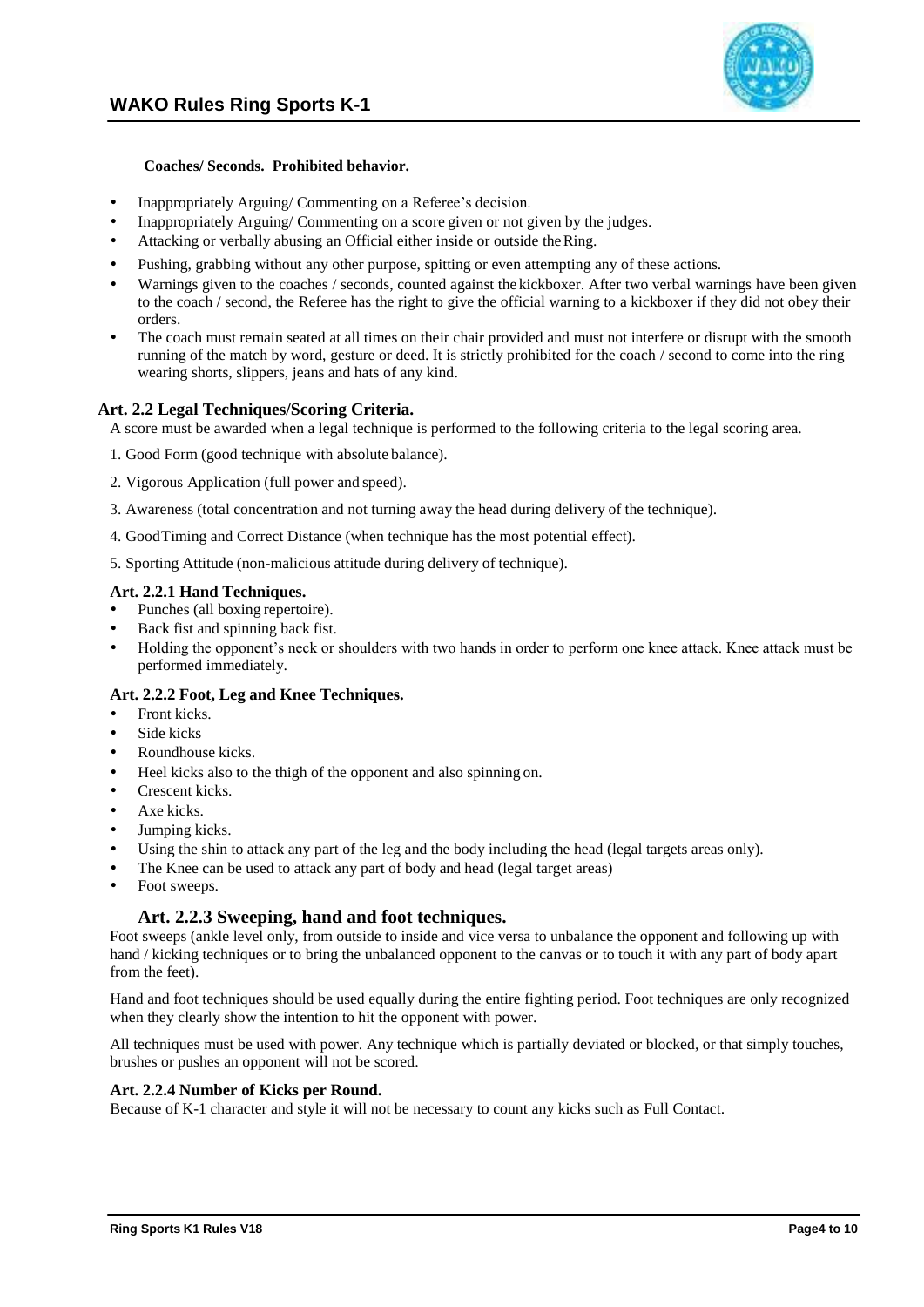

#### **Coaches/ Seconds. Prohibited behavior.**

- Inappropriately Arguing/Commenting on a Referee's decision.
- Inappropriately Arguing/ Commenting on a score given or not given by the judges.
- Attacking or verbally abusing an Official either inside or outside theRing.
- Pushing, grabbing without any other purpose, spitting or even attempting any of these actions.
- Warnings given to the coaches / seconds, counted against the kickboxer. After two verbal warnings have been given to the coach / second, the Referee has the right to give the official warning to a kickboxer if they did not obey their orders.
- The coach must remain seated at all times on their chair provided and must not interfere or disrupt with the smooth running of the match by word, gesture or deed. It is strictly prohibited for the coach / second to come into the ring wearing shorts, slippers, jeans and hats of any kind.

#### **Art. 2.2 Legal Techniques/Scoring Criteria.**

A score must be awarded when a legal technique is performed to the following criteria to the legal scoring area.

- 1. Good Form (good technique with absolute balance).
- 2. Vigorous Application (full power and speed).
- 3. Awareness (total concentration and not turning away the head during delivery of the technique).
- 4. GoodTiming and Correct Distance (when technique has the most potential effect).
- 5. Sporting Attitude (non-malicious attitude during delivery of technique).

#### **Art. 2.2.1 Hand Techniques.**

- Punches (all boxing repertoire).
- Back fist and spinning back fist.
- Holding the opponent's neck or shoulders with two hands in order to perform one knee attack. Knee attack must be performed immediately.

#### **Art. 2.2.2 Foot, Leg and Knee Techniques.**

- Front kicks.
- Side kicks
- Roundhouse kicks.
- Heel kicks also to the thigh of the opponent and also spinning on.
- Crescent kicks.
- Axe kicks.
- Jumping kicks.
- Using the shin to attack any part of the leg and the body including the head (legal targets areas only).
- The Knee can be used to attack any part of body and head (legal target areas)
- Foot sweeps.

# **Art. 2.2.3 Sweeping, hand and foot techniques.**

Foot sweeps (ankle level only, from outside to inside and vice versa to unbalance the opponent and following up with hand / kicking techniques or to bring the unbalanced opponent to the canvas or to touch it with any part of body apart from the feet).

Hand and foot techniques should be used equally during the entire fighting period. Foot techniques are only recognized when they clearly show the intention to hit the opponent with power.

All techniques must be used with power. Any technique which is partially deviated or blocked, or that simply touches, brushes or pushes an opponent will not be scored.

#### **Art. 2.2.4 Number of Kicks per Round.**

Because of K-1 character and style it will not be necessary to count any kicks such as Full Contact.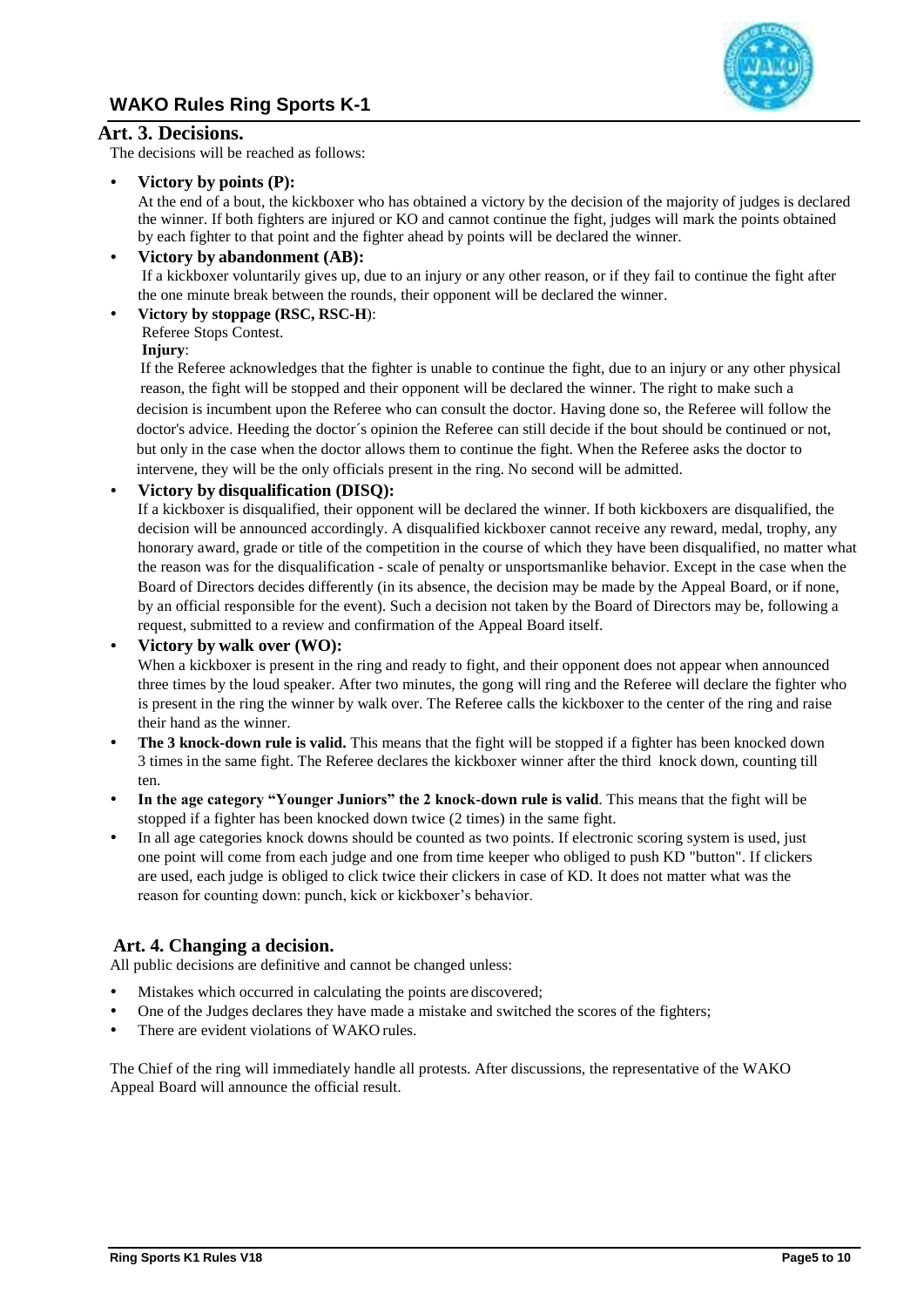

# **Art. 3. Decisions.**

The decisions will be reached as follows:

# **Victory by points (P):**

At the end of a bout, the kickboxer who has obtained a victory by the decision of the majority of judges is declared the winner. If both fighters are injured or KO and cannot continue the fight, judges will mark the points obtained by each fighter to that point and the fighter ahead by points will be declared the winner.

# **Victory by abandonment (AB):**

If a kickboxer voluntarily gives up, due to an injury or any other reason, or if they fail to continue the fight after the one minute break between the rounds, their opponent will be declared the winner.

# **Victory by stoppage (RSC, RSC-H**):

Referee Stops Contest.

# **Injury**:

If the Referee acknowledges that the fighter is unable to continue the fight, due to an injury or any other physical reason, the fight will be stopped and their opponent will be declared the winner. The right to make such a decision is incumbent upon the Referee who can consult the doctor. Having done so, the Referee will follow the doctor's advice. Heeding the doctor´s opinion the Referee can still decide if the bout should be continued or not, but only in the case when the doctor allows them to continue the fight. When the Referee asks the doctor to intervene, they will be the only officials present in the ring. No second will be admitted.

# **Victory by disqualification (DISQ):**

If a kickboxer is disqualified, their opponent will be declared the winner. If both kickboxers are disqualified, the decision will be announced accordingly. A disqualified kickboxer cannot receive any reward, medal, trophy, any honorary award, grade or title of the competition in the course of which they have been disqualified, no matter what the reason was for the disqualification - scale of penalty or unsportsmanlike behavior. Except in the case when the Board of Directors decides differently (in its absence, the decision may be made by the Appeal Board, or if none, by an official responsible for the event). Such a decision not taken by the Board of Directors may be, following a request, submitted to a review and confirmation of the Appeal Board itself.

# **Victory by walk over (WO):**

When a kickboxer is present in the ring and ready to fight, and their opponent does not appear when announced three times by the loud speaker. After two minutes, the gong will ring and the Referee will declare the fighter who is present in the ring the winner by walk over. The Referee calls the kickboxer to the center of the ring and raise their hand as the winner.

- **The 3 knock-down rule is valid.** This means that the fight will be stopped if a fighter has been knocked down 3 times in the same fight. The Referee declares the kickboxer winner after the third knock down, counting till ten.
- **In the age category "Younger Juniors" the 2 knock-down rule is valid**. This means that the fight will be stopped if a fighter has been knocked down twice (2 times) in the same fight.
- In all age categories knock downs should be counted as two points. If electronic scoring system is used, just one point will come from each judge and one from time keeper who obliged to push KD "button". If clickers are used, each judge is obliged to click twice their clickers in case of KD. It does not matter what was the reason for counting down: punch, kick or kickboxer's behavior.

# **Art. 4. Changing a decision.**

All public decisions are definitive and cannot be changed unless:

- Mistakes which occurred in calculating the points are discovered;
- One of the Judges declares they have made a mistake and switched the scores of the fighters;
- There are evident violations of WAKO rules.

The Chief of the ring will immediately handle all protests. After discussions, the representative of the WAKO Appeal Board will announce the official result.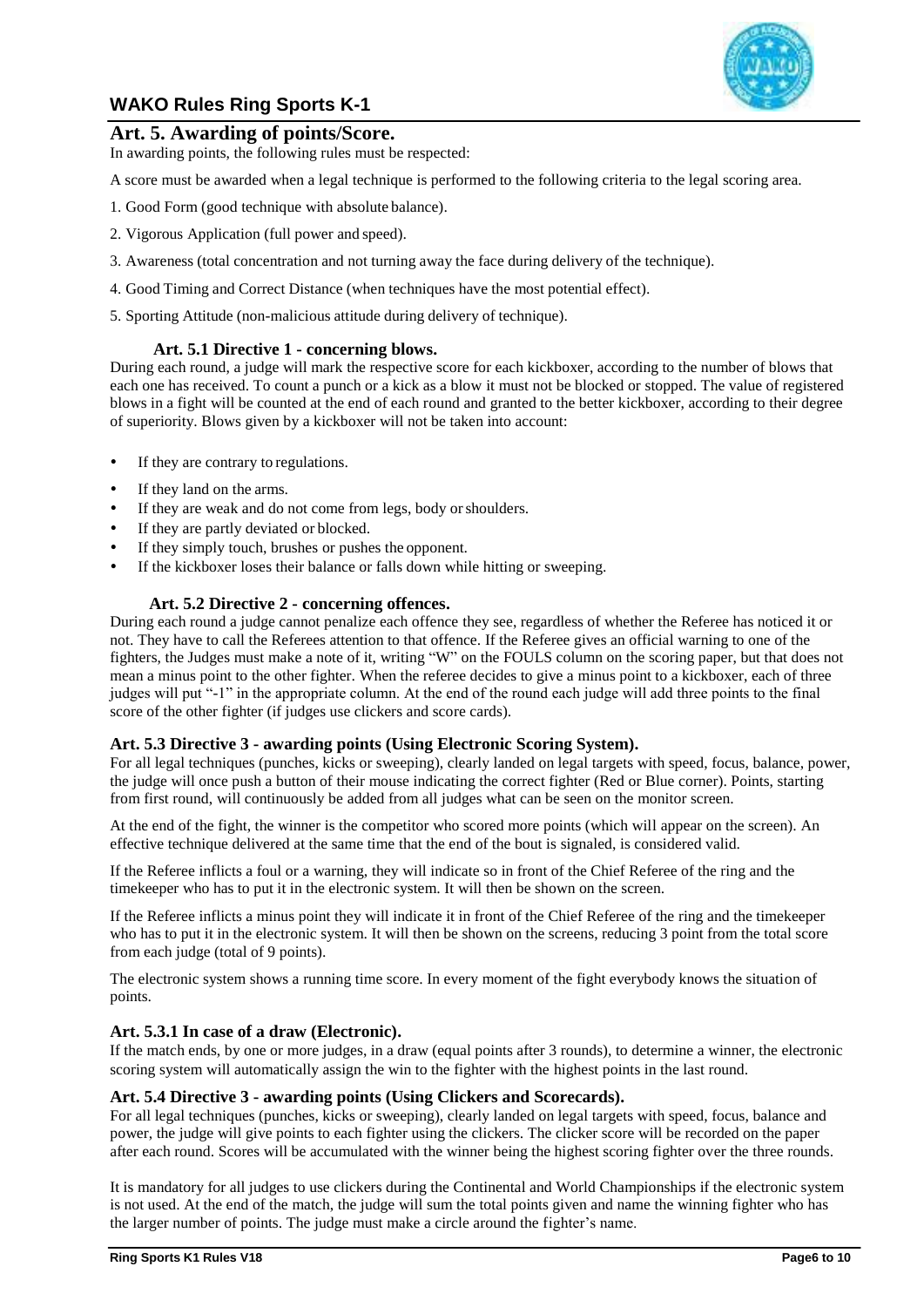

# **Art. 5. Awarding of points/Score.**

In awarding points, the following rules must be respected:

A score must be awarded when a legal technique is performed to the following criteria to the legal scoring area.

- 1. Good Form (good technique with absolute balance).
- 2. Vigorous Application (full power and speed).
- 3. Awareness (total concentration and not turning away the face during delivery of the technique).
- 4. Good Timing and Correct Distance (when techniques have the most potential effect).
- 5. Sporting Attitude (non-malicious attitude during delivery of technique).

# **Art. 5.1 Directive 1 - concerning blows.**

During each round, a judge will mark the respective score for each kickboxer, according to the number of blows that each one has received. To count a punch or a kick as a blow it must not be blocked or stopped. The value of registered blows in a fight will be counted at the end of each round and granted to the better kickboxer, according to their degree of superiority. Blows given by a kickboxer will not be taken into account:

- If they are contrary to regulations.
- If they land on the arms.
- If they are weak and do not come from legs, body orshoulders.
- If they are partly deviated or blocked.
- If they simply touch, brushes or pushes the opponent.
- If the kickboxer loses their balance or falls down while hitting or sweeping.

# **Art. 5.2 Directive 2 - concerning offences.**

During each round a judge cannot penalize each offence they see, regardless of whether the Referee has noticed it or not. They have to call the Referees attention to that offence. If the Referee gives an official warning to one of the fighters, the Judges must make a note of it, writing "W" on the FOULS column on the scoring paper, but that does not mean a minus point to the other fighter. When the referee decides to give a minus point to a kickboxer, each of three judges will put "-1" in the appropriate column. At the end of the round each judge will add three points to the final score of the other fighter (if judges use clickers and score cards).

# <span id="page-5-0"></span>**Art. 5.3 Directive 3 - awarding points (Using Electronic Scoring System).**

For all legal techniques (punches, kicks or sweeping), clearly landed on legal targets with speed, focus, balance, power, the judge will once push a button of their mouse indicating the correct fighter (Red or Blue corner). Points, starting from first round, will continuously be added from all judges what can be seen on the monitor screen.

At the end of the fight, the winner is the competitor who scored more points (which will appear on the screen). An effective technique delivered at the same time that the end of the bout is signaled, is considered valid.

If the Referee inflicts a foul or a warning, they will indicate so in front of the Chief Referee of the ring and the timekeeper who has to put it in the electronic system. It will then be shown on the screen.

If the Referee inflicts a minus point they will indicate it in front of the Chief Referee of the ring and the timekeeper who has to put it in the electronic system. It will then be shown on the screens, reducing 3 point from the total score from each judge (total of 9 points).

<span id="page-5-1"></span>The electronic system shows a running time score. In every moment of the fight everybody knows the situation of points.

# **Art. 5.3.1 In case of a draw (Electronic).**

If the match ends, by one or more judges, in a draw (equal points after 3 rounds), to determine a winner, the electronic scoring system will automatically assign the win to the fighter with the highest points in the last round.

# <span id="page-5-2"></span>**Art. 5.4 Directive 3 - awarding points (Using Clickers and Scorecards).**

For all legal techniques (punches, kicks or sweeping), clearly landed on legal targets with speed, focus, balance and power, the judge will give points to each fighter using the clickers. The clicker score will be recorded on the paper after each round. Scores will be accumulated with the winner being the highest scoring fighter over the three rounds.

It is mandatory for all judges to use clickers during the Continental and World Championships if the electronic system is not used. At the end of the match, the judge will sum the total points given and name the winning fighter who has the larger number of points. The judge must make a circle around the fighter's name.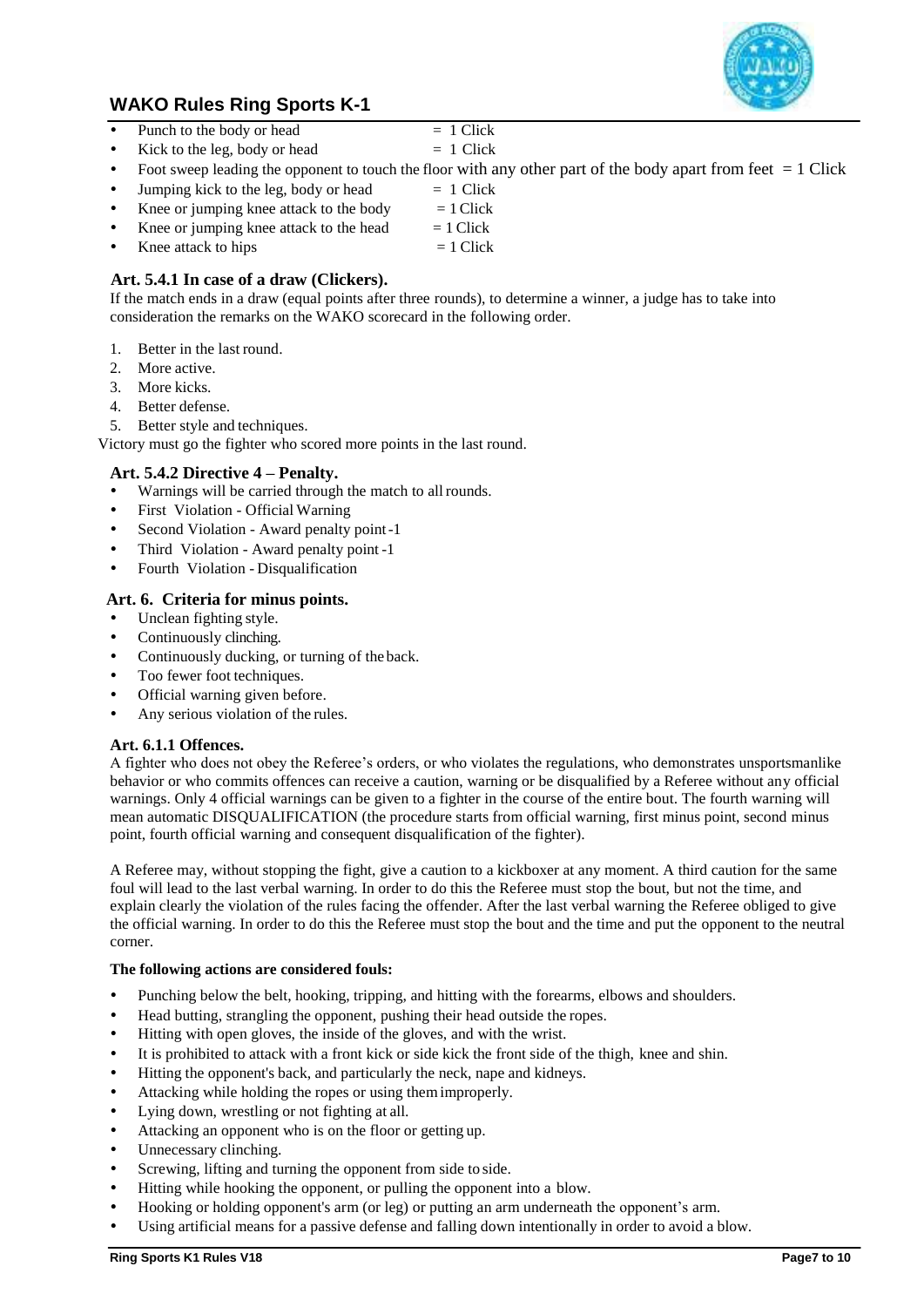

- Punch to the body or head  $= 1$  Click
	-
- Kick to the leg, body or head  $= 1$  Click Foot sweep leading the opponent to touch the floor with any other part of the body apart from feet  $= 1$  Click
- Jumping kick to the leg, body or head  $= 1$  Click
	- Knee or jumping knee attack to the body  $= 1$  Click
- Knee or jumping knee attack to the head  $= 1$  Click
- Knee attack to hips  $= 1$  Click

# <span id="page-6-0"></span>**Art. 5.4.1 In case of a draw (Clickers).**

If the match ends in a draw (equal points after three rounds), to determine a winner, a judge has to take into consideration the remarks on the WAKO scorecard in the following order.

- 1. Better in the last round.
- 2. More active.
- 3. More kicks.
- 4. Better defense.
- 5. Better style and techniques.

Victory must go the fighter who scored more points in the last round.

# **Art. 5.4.2 Directive 4 – Penalty.**

- Warnings will be carried through the match to all rounds.
- First Violation Official Warning
- Second Violation Award penalty point-1
- Third Violation Award penalty point -1
- Fourth Violation Disqualification

# **Art. 6. Criteria for minus points.**

- Unclean fighting style.
- Continuously clinching.
- Continuously ducking, or turning of the back.
- Too fewer foot techniques.
- Official warning given before.
- Any serious violation of the rules.

# **Art. 6.1.1 Offences.**

A fighter who does not obey the Referee's orders, or who violates the regulations, who demonstrates unsportsmanlike behavior or who commits offences can receive a caution, warning or be disqualified by a Referee without any official warnings. Only 4 official warnings can be given to a fighter in the course of the entire bout. The fourth warning will mean automatic DISQUALIFICATION (the procedure starts from official warning, first minus point, second minus point, fourth official warning and consequent disqualification of the fighter).

A Referee may, without stopping the fight, give a caution to a kickboxer at any moment. A third caution for the same foul will lead to the last verbal warning. In order to do this the Referee must stop the bout, but not the time, and explain clearly the violation of the rules facing the offender. After the last verbal warning the Referee obliged to give the official warning. In order to do this the Referee must stop the bout and the time and put the opponent to the neutral corner.

#### **The following actions are considered fouls:**

- Punching below the belt, hooking, tripping, and hitting with the forearms, elbows and shoulders.
- Head butting, strangling the opponent, pushing their head outside the ropes.
- Hitting with open gloves, the inside of the gloves, and with the wrist.
- It is prohibited to attack with a front kick or side kick the front side of the thigh, knee and shin.
- Hitting the opponent's back, and particularly the neck, nape and kidneys.
- Attacking while holding the ropes or using themimproperly.
- Lying down, wrestling or not fighting at all.
- Attacking an opponent who is on the floor or getting up.
- Unnecessary clinching.
- Screwing, lifting and turning the opponent from side to side.
- Hitting while hooking the opponent, or pulling the opponent into a blow.
- Hooking or holding opponent's arm (or leg) or putting an arm underneath the opponent's arm.
- Using artificial means for a passive defense and falling down intentionally in order to avoid a blow.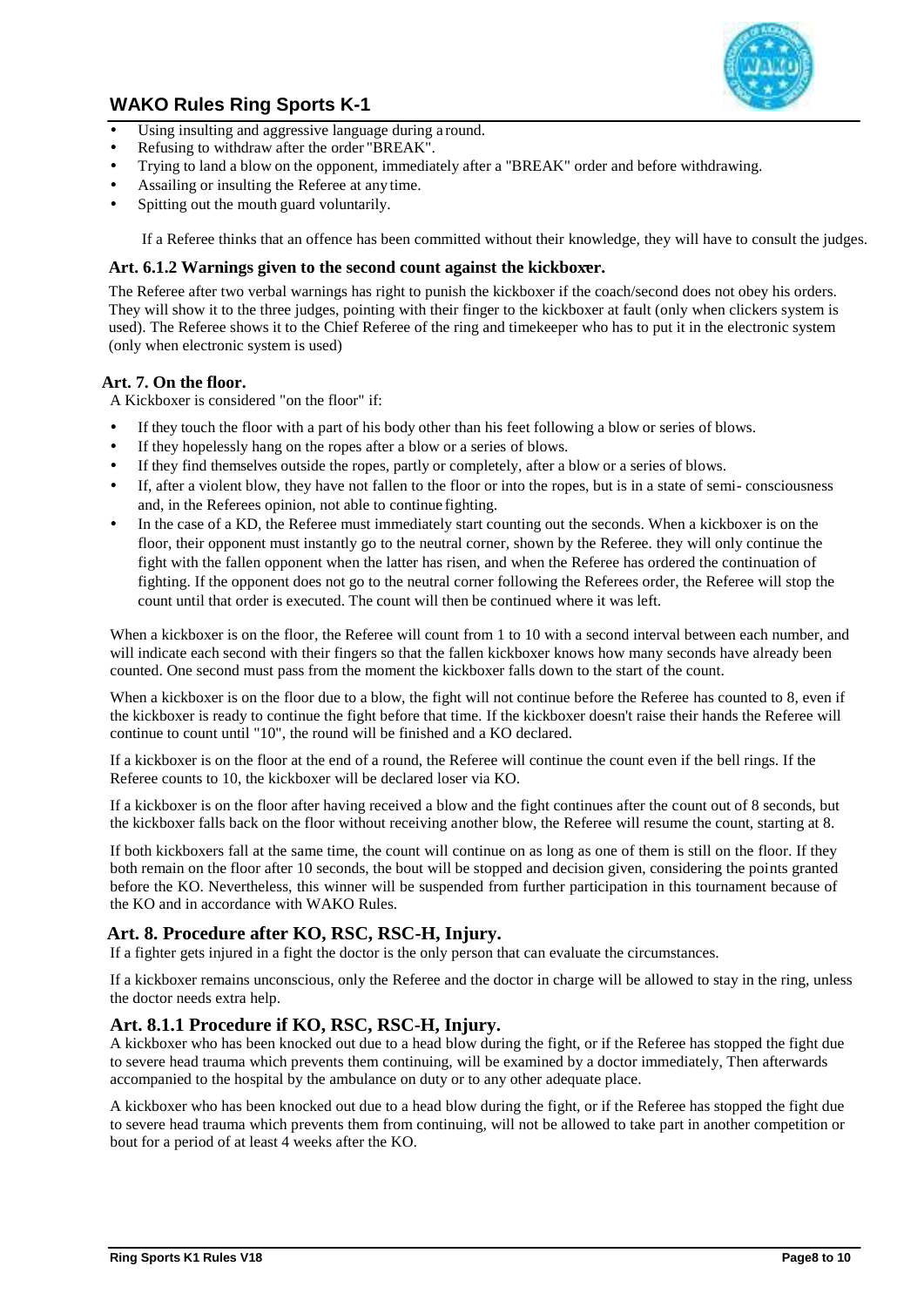

- Using insulting and aggressive language during a round.
- Refusing to withdraw after the order "BREAK".
- Trying to land a blow on the opponent, immediately after a "BREAK" order and before withdrawing.
- Assailing or insulting the Referee at any time.
- Spitting out the mouth guard voluntarily.

If a Referee thinks that an offence has been committed without their knowledge, they will have to consult the judges.

# **Art. 6.1.2 Warnings given to the second count against the kickboxer.**

The Referee after two verbal warnings has right to punish the kickboxer if the coach/second does not obey his orders. They will show it to the three judges, pointing with their finger to the kickboxer at fault (only when clickers system is used). The Referee shows it to the Chief Referee of the ring and timekeeper who has to put it in the electronic system (only when electronic system is used)

# **Art. 7. On the floor.**

A Kickboxer is considered "on the floor" if:

- If they touch the floor with a part of his body other than his feet following a blow or series of blows.
- If they hopelessly hang on the ropes after a blow or a series of blows.
- If they find themselves outside the ropes, partly or completely, after a blow or a series of blows.
- If, after a violent blow, they have not fallen to the floor or into the ropes, but is in a state of semi- consciousness and, in the Referees opinion, not able to continue fighting.
- In the case of a KD, the Referee must immediately start counting out the seconds. When a kickboxer is on the floor, their opponent must instantly go to the neutral corner, shown by the Referee. they will only continue the fight with the fallen opponent when the latter has risen, and when the Referee has ordered the continuation of fighting. If the opponent does not go to the neutral corner following the Referees order, the Referee will stop the count until that order is executed. The count will then be continued where it was left.

When a kickboxer is on the floor, the Referee will count from 1 to 10 with a second interval between each number, and will indicate each second with their fingers so that the fallen kickboxer knows how many seconds have already been counted. One second must pass from the moment the kickboxer falls down to the start of the count.

When a kickboxer is on the floor due to a blow, the fight will not continue before the Referee has counted to 8, even if the kickboxer is ready to continue the fight before that time. If the kickboxer doesn't raise their hands the Referee will continue to count until "10", the round will be finished and a KO declared.

If a kickboxer is on the floor at the end of a round, the Referee will continue the count even if the bell rings. If the Referee counts to 10, the kickboxer will be declared loser via KO.

If a kickboxer is on the floor after having received a blow and the fight continues after the count out of 8 seconds, but the kickboxer falls back on the floor without receiving another blow, the Referee will resume the count, starting at 8.

If both kickboxers fall at the same time, the count will continue on as long as one of them is still on the floor. If they both remain on the floor after 10 seconds, the bout will be stopped and decision given, considering the points granted before the KO. Nevertheless, this winner will be suspended from further participation in this tournament because of the KO and in accordance with WAKO Rules.

# **Art. 8. Procedure after KO, RSC, RSC-H, Injury.**

If a fighter gets injured in a fight the doctor is the only person that can evaluate the circumstances.

If a kickboxer remains unconscious, only the Referee and the doctor in charge will be allowed to stay in the ring, unless the doctor needs extra help.

# **Art. 8.1.1 Procedure if KO, RSC, RSC-H, Injury.**

A kickboxer who has been knocked out due to a head blow during the fight, or if the Referee has stopped the fight due to severe head trauma which prevents them continuing, will be examined by a doctor immediately, Then afterwards accompanied to the hospital by the ambulance on duty or to any other adequate place.

A kickboxer who has been knocked out due to a head blow during the fight, or if the Referee has stopped the fight due to severe head trauma which prevents them from continuing, will not be allowed to take part in another competition or bout for a period of at least 4 weeks after the KO.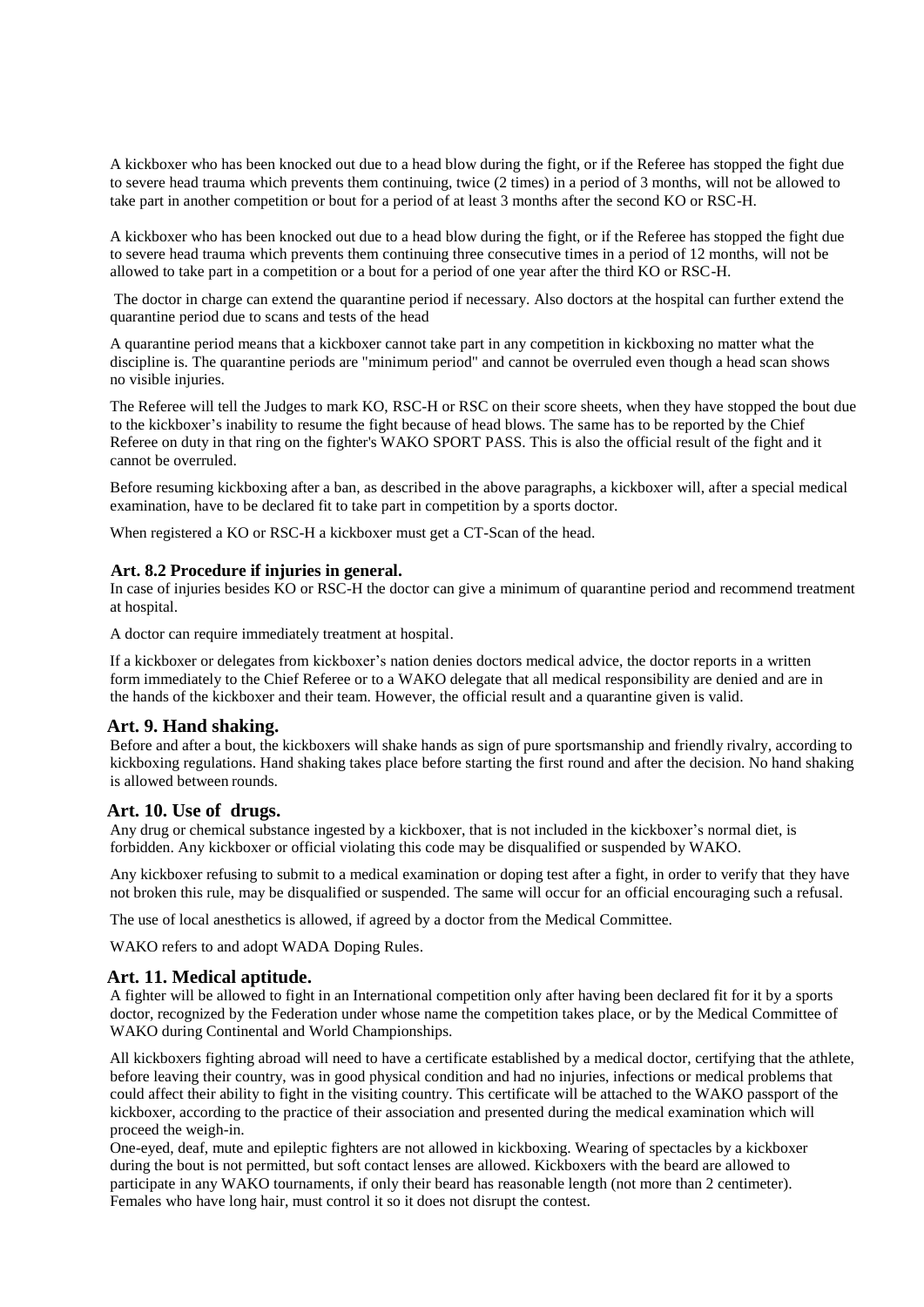A kickboxer who has been knocked out due to a head blow during the fight, or if the Referee has stopped the fight due to severe head trauma which prevents them continuing, twice (2 times) in a period of 3 months, will not be allowed to take part in another competition or bout for a period of at least 3 months after the second KO or RSC-H.

A kickboxer who has been knocked out due to a head blow during the fight, or if the Referee has stopped the fight due to severe head trauma which prevents them continuing three consecutive times in a period of 12 months, will not be allowed to take part in a competition or a bout for a period of one year after the third KO or RSC-H.

The doctor in charge can extend the quarantine period if necessary. Also doctors at the hospital can further extend the quarantine period due to scans and tests of the head

A quarantine period means that a kickboxer cannot take part in any competition in kickboxing no matter what the discipline is. The quarantine periods are "minimum period" and cannot be overruled even though a head scan shows no visible injuries.

The Referee will tell the Judges to mark KO, RSC-H or RSC on their score sheets, when they have stopped the bout due to the kickboxer's inability to resume the fight because of head blows. The same has to be reported by the Chief Referee on duty in that ring on the fighter's WAKO SPORT PASS. This is also the official result of the fight and it cannot be overruled.

Before resuming kickboxing after a ban, as described in the above paragraphs, a kickboxer will, after a special medical examination, have to be declared fit to take part in competition by a sports doctor.

When registered a KO or RSC-H a kickboxer must get a CT-Scan of the head.

#### **Art. 8.2 Procedure if injuries in general.**

In case of injuries besides KO or RSC-H the doctor can give a minimum of quarantine period and recommend treatment at hospital.

A doctor can require immediately treatment at hospital.

If a kickboxer or delegates from kickboxer's nation denies doctors medical advice, the doctor reports in a written form immediately to the Chief Referee or to a WAKO delegate that all medical responsibility are denied and are in the hands of the kickboxer and their team. However, the official result and a quarantine given is valid.

#### **Art. 9. Hand shaking.**

Before and after a bout, the kickboxers will shake hands as sign of pure sportsmanship and friendly rivalry, according to kickboxing regulations. Hand shaking takes place before starting the first round and after the decision. No hand shaking is allowed between rounds.

#### **Art. 10. Use of drugs.**

Any drug or chemical substance ingested by a kickboxer, that is not included in the kickboxer's normal diet, is forbidden. Any kickboxer or official violating this code may be disqualified or suspended by WAKO.

Any kickboxer refusing to submit to a medical examination or doping test after a fight, in order to verify that they have not broken this rule, may be disqualified or suspended. The same will occur for an official encouraging such a refusal.

The use of local anesthetics is allowed, if agreed by a doctor from the Medical Committee.

WAKO refers to and adopt WADA Doping Rules.

#### **Art. 11. Medical aptitude.**

A fighter will be allowed to fight in an International competition only after having been declared fit for it by a sports doctor, recognized by the Federation under whose name the competition takes place, or by the Medical Committee of WAKO during Continental and World Championships.

All kickboxers fighting abroad will need to have a certificate established by a medical doctor, certifying that the athlete, before leaving their country, was in good physical condition and had no injuries, infections or medical problems that could affect their ability to fight in the visiting country. This certificate will be attached to the WAKO passport of the kickboxer, according to the practice of their association and presented during the medical examination which will proceed the weigh-in.

One-eyed, deaf, mute and epileptic fighters are not allowed in kickboxing. Wearing of spectacles by a kickboxer during the bout is not permitted, but soft contact lenses are allowed. Kickboxers with the beard are allowed to participate in any WAKO tournaments, if only their beard has reasonable length (not more than 2 centimeter). Females who have long hair, must control it so it does not disrupt the contest.